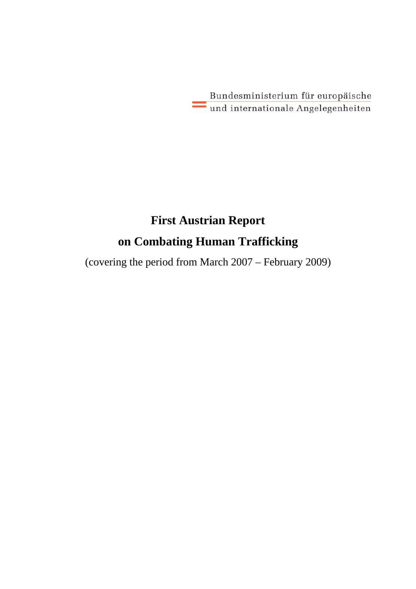Bundesministerium für europäische und internationale Angelegenheiten

# **First Austrian Report on Combating Human Trafficking**

(covering the period from March 2007 – February 2009)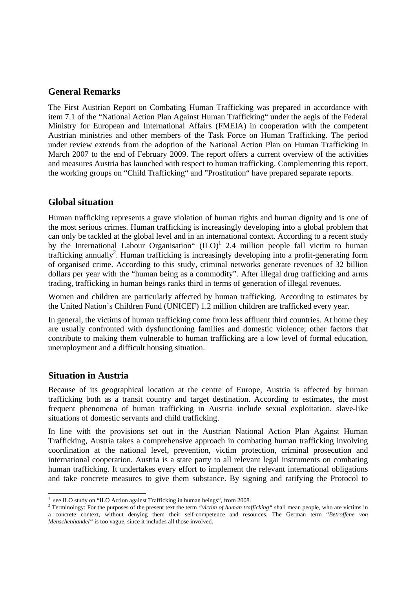# **General Remarks**

The First Austrian Report on Combating Human Trafficking was prepared in accordance with item 7.1 of the "National Action Plan Against Human Trafficking" under the aegis of the Federal Ministry for European and International Affairs (FMEIA) in cooperation with the competent Austrian ministries and other members of the Task Force on Human Trafficking. The period under review extends from the adoption of the National Action Plan on Human Trafficking in March 2007 to the end of February 2009. The report offers a current overview of the activities and measures Austria has launched with respect to human trafficking. Complementing this report, the working groups on "Child Trafficking" and "Prostitution" have prepared separate reports.

# **Global situation**

Human trafficking represents a grave violation of human rights and human dignity and is one of the most serious crimes. Human trafficking is increasingly developing into a global problem that can only be tackled at the global level and in an international context. According to a recent study by the International Labour Organisation"  $(ILO)^1$  2.4 million people fall victim to human trafficking annually<sup>2</sup>. Human trafficking is increasingly developing into a profit-generating form of organised crime. According to this study, criminal networks generate revenues of 32 billion dollars per year with the "human being as a commodity". After illegal drug trafficking and arms trading, trafficking in human beings ranks third in terms of generation of illegal revenues.

Women and children are particularly affected by human trafficking. According to estimates by the United Nation's Children Fund (UNICEF) 1.2 million children are trafficked every year.

In general, the victims of human trafficking come from less affluent third countries. At home they are usually confronted with dysfunctioning families and domestic violence; other factors that contribute to making them vulnerable to human trafficking are a low level of formal education, unemployment and a difficult housing situation.

# **Situation in Austria**

Because of its geographical location at the centre of Europe, Austria is affected by human trafficking both as a transit country and target destination. According to estimates, the most frequent phenomena of human trafficking in Austria include sexual exploitation, slave-like situations of domestic servants and child trafficking.

In line with the provisions set out in the Austrian National Action Plan Against Human Trafficking, Austria takes a comprehensive approach in combating human trafficking involving coordination at the national level, prevention, victim protection, criminal prosecution and international cooperation. Austria is a state party to all relevant legal instruments on combating human trafficking. It undertakes every effort to implement the relevant international obligations and take concrete measures to give them substance. By signing and ratifying the Protocol to

 $\overline{a}$ <sup>1</sup> see ILO study on "ILO Action against Trafficking in human beings", from 2008.

<sup>2</sup> Terminology: For the purposes of the present text the term *"victim of human trafficking"* shall mean people, who are victims in a concrete context, without denying them their self-competence and resources. The German term "*Betroffene von Menschenhandel"* is too vague, since it includes all those involved.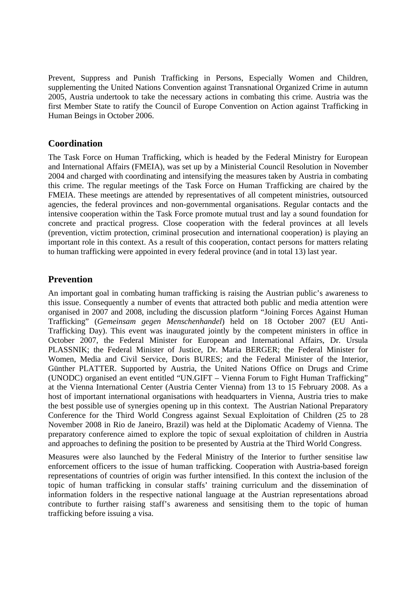Prevent, Suppress and Punish Trafficking in Persons, Especially Women and Children, supplementing the United Nations Convention against Transnational Organized Crime in autumn 2005, Austria undertook to take the necessary actions in combating this crime. Austria was the first Member State to ratify the Council of Europe Convention on Action against Trafficking in Human Beings in October 2006.

# **Coordination**

The Task Force on Human Trafficking, which is headed by the Federal Ministry for European and International Affairs (FMEIA), was set up by a Ministerial Council Resolution in November 2004 and charged with coordinating and intensifying the measures taken by Austria in combating this crime. The regular meetings of the Task Force on Human Trafficking are chaired by the FMEIA. These meetings are attended by representatives of all competent ministries, outsourced agencies, the federal provinces and non-governmental organisations. Regular contacts and the intensive cooperation within the Task Force promote mutual trust and lay a sound foundation for concrete and practical progress. Close cooperation with the federal provinces at all levels (prevention, victim protection, criminal prosecution and international cooperation) is playing an important role in this context. As a result of this cooperation, contact persons for matters relating to human trafficking were appointed in every federal province (and in total 13) last year.

# **Prevention**

An important goal in combating human trafficking is raising the Austrian public's awareness to this issue. Consequently a number of events that attracted both public and media attention were organised in 2007 and 2008, including the discussion platform "Joining Forces Against Human Trafficking" (*Gemeinsam gegen Menschenhandel*) held on 18 October 2007 (EU Anti-Trafficking Day). This event was inaugurated jointly by the competent ministers in office in October 2007, the Federal Minister for European and International Affairs, Dr. Ursula PLASSNIK; the Federal Minister of Justice, Dr. Maria BERGER; the Federal Minister for Women, Media and Civil Service, Doris BURES; and the Federal Minister of the Interior, Günther PLATTER. Supported by Austria, the United Nations Office on Drugs and Crime (UNODC) organised an event entitled "UN.GIFT – Vienna Forum to Fight Human Trafficking" at the Vienna International Center (Austria Center Vienna) from 13 to 15 February 2008. As a host of important international organisations with headquarters in Vienna, Austria tries to make the best possible use of synergies opening up in this context. The Austrian National Preparatory Conference for the Third World Congress against Sexual Exploitation of Children (25 to 28 November 2008 in Rio de Janeiro, Brazil) was held at the Diplomatic Academy of Vienna. The preparatory conference aimed to explore the topic of sexual exploitation of children in Austria and approaches to defining the position to be presented by Austria at the Third World Congress.

Measures were also launched by the Federal Ministry of the Interior to further sensitise law enforcement officers to the issue of human trafficking. Cooperation with Austria-based foreign representations of countries of origin was further intensified. In this context the inclusion of the topic of human trafficking in consular staffs' training curriculum and the dissemination of information folders in the respective national language at the Austrian representations abroad contribute to further raising staff's awareness and sensitising them to the topic of human trafficking before issuing a visa.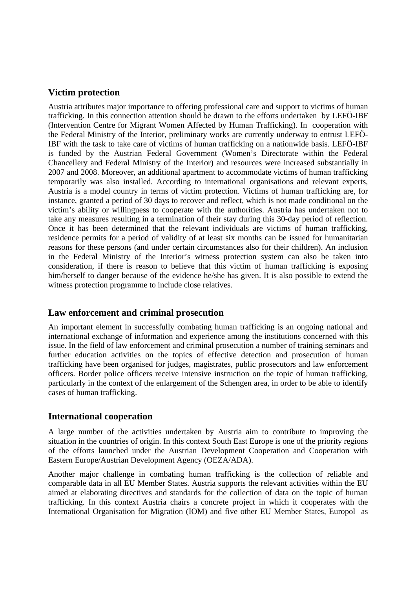# **Victim protection**

Austria attributes major importance to offering professional care and support to victims of human trafficking. In this connection attention should be drawn to the efforts undertaken by LEFÖ-IBF (Intervention Centre for Migrant Women Affected by Human Trafficking). In cooperation with the Federal Ministry of the Interior, preliminary works are currently underway to entrust LEFÖ-IBF with the task to take care of victims of human trafficking on a nationwide basis. LEFÖ-IBF is funded by the Austrian Federal Government (Women's Directorate within the Federal Chancellery and Federal Ministry of the Interior) and resources were increased substantially in 2007 and 2008. Moreover, an additional apartment to accommodate victims of human trafficking temporarily was also installed. According to international organisations and relevant experts, Austria is a model country in terms of victim protection. Victims of human trafficking are, for instance, granted a period of 30 days to recover and reflect, which is not made conditional on the victim's ability or willingness to cooperate with the authorities. Austria has undertaken not to take any measures resulting in a termination of their stay during this 30-day period of reflection. Once it has been determined that the relevant individuals are victims of human trafficking, residence permits for a period of validity of at least six months can be issued for humanitarian reasons for these persons (and under certain circumstances also for their children). An inclusion in the Federal Ministry of the Interior's witness protection system can also be taken into consideration, if there is reason to believe that this victim of human trafficking is exposing him/herself to danger because of the evidence he/she has given. It is also possible to extend the witness protection programme to include close relatives.

# **Law enforcement and criminal prosecution**

An important element in successfully combating human trafficking is an ongoing national and international exchange of information and experience among the institutions concerned with this issue. In the field of law enforcement and criminal prosecution a number of training seminars and further education activities on the topics of effective detection and prosecution of human trafficking have been organised for judges, magistrates, public prosecutors and law enforcement officers. Border police officers receive intensive instruction on the topic of human trafficking, particularly in the context of the enlargement of the Schengen area, in order to be able to identify cases of human trafficking.

# **International cooperation**

A large number of the activities undertaken by Austria aim to contribute to improving the situation in the countries of origin. In this context South East Europe is one of the priority regions of the efforts launched under the Austrian Development Cooperation and Cooperation with Eastern Europe/Austrian Development Agency (OEZA/ADA).

Another major challenge in combating human trafficking is the collection of reliable and comparable data in all EU Member States. Austria supports the relevant activities within the EU aimed at elaborating directives and standards for the collection of data on the topic of human trafficking. In this context Austria chairs a concrete project in which it cooperates with the International Organisation for Migration (IOM) and five other EU Member States, Europol as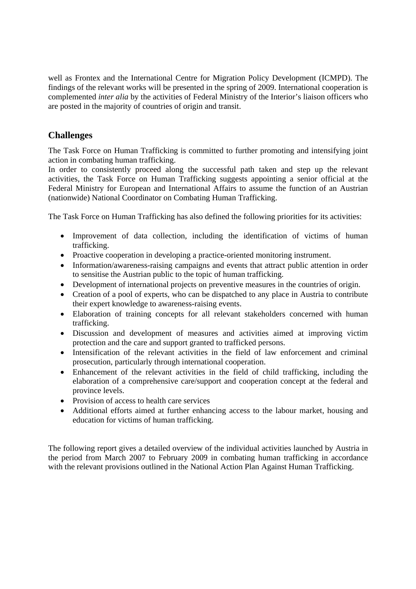well as Frontex and the International Centre for Migration Policy Development (ICMPD). The findings of the relevant works will be presented in the spring of 2009. International cooperation is complemented *inter alia* by the activities of Federal Ministry of the Interior's liaison officers who are posted in the majority of countries of origin and transit.

# **Challenges**

The Task Force on Human Trafficking is committed to further promoting and intensifying joint action in combating human trafficking.

In order to consistently proceed along the successful path taken and step up the relevant activities, the Task Force on Human Trafficking suggests appointing a senior official at the Federal Ministry for European and International Affairs to assume the function of an Austrian (nationwide) National Coordinator on Combating Human Trafficking.

The Task Force on Human Trafficking has also defined the following priorities for its activities:

- Improvement of data collection, including the identification of victims of human trafficking.
- Proactive cooperation in developing a practice-oriented monitoring instrument.
- Information/awareness-raising campaigns and events that attract public attention in order to sensitise the Austrian public to the topic of human trafficking.
- Development of international projects on preventive measures in the countries of origin.
- Creation of a pool of experts, who can be dispatched to any place in Austria to contribute their expert knowledge to awareness-raising events.
- Elaboration of training concepts for all relevant stakeholders concerned with human trafficking.
- Discussion and development of measures and activities aimed at improving victim protection and the care and support granted to trafficked persons.
- Intensification of the relevant activities in the field of law enforcement and criminal prosecution, particularly through international cooperation.
- Enhancement of the relevant activities in the field of child trafficking, including the elaboration of a comprehensive care/support and cooperation concept at the federal and province levels.
- Provision of access to health care services
- Additional efforts aimed at further enhancing access to the labour market, housing and education for victims of human trafficking.

The following report gives a detailed overview of the individual activities launched by Austria in the period from March 2007 to February 2009 in combating human trafficking in accordance with the relevant provisions outlined in the National Action Plan Against Human Trafficking.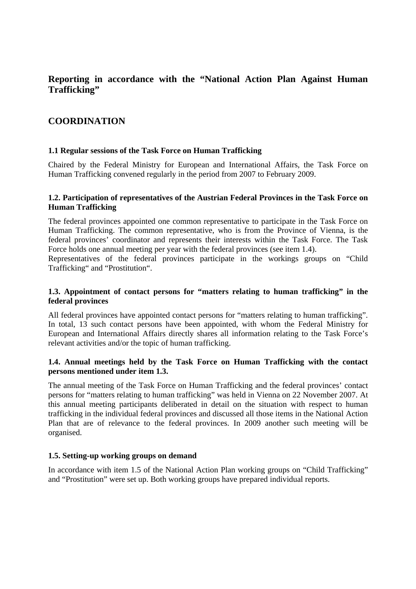# **Reporting in accordance with the "National Action Plan Against Human Trafficking"**

# **COORDINATION**

# **1.1 Regular sessions of the Task Force on Human Trafficking**

Chaired by the Federal Ministry for European and International Affairs, the Task Force on Human Trafficking convened regularly in the period from 2007 to February 2009.

# **1.2. Participation of representatives of the Austrian Federal Provinces in the Task Force on Human Trafficking**

The federal provinces appointed one common representative to participate in the Task Force on Human Trafficking. The common representative, who is from the Province of Vienna, is the federal provinces' coordinator and represents their interests within the Task Force. The Task Force holds one annual meeting per year with the federal provinces (see item 1.4).

Representatives of the federal provinces participate in the workings groups on "Child Trafficking" and "Prostitution".

# **1.3. Appointment of contact persons for "matters relating to human trafficking" in the federal provinces**

All federal provinces have appointed contact persons for "matters relating to human trafficking". In total, 13 such contact persons have been appointed, with whom the Federal Ministry for European and International Affairs directly shares all information relating to the Task Force's relevant activities and/or the topic of human trafficking.

# **1.4. Annual meetings held by the Task Force on Human Trafficking with the contact persons mentioned under item 1.3.**

The annual meeting of the Task Force on Human Trafficking and the federal provinces' contact persons for "matters relating to human trafficking" was held in Vienna on 22 November 2007. At this annual meeting participants deliberated in detail on the situation with respect to human trafficking in the individual federal provinces and discussed all those items in the National Action Plan that are of relevance to the federal provinces. In 2009 another such meeting will be organised.

# **1.5. Setting-up working groups on demand**

In accordance with item 1.5 of the National Action Plan working groups on "Child Trafficking" and "Prostitution" were set up. Both working groups have prepared individual reports.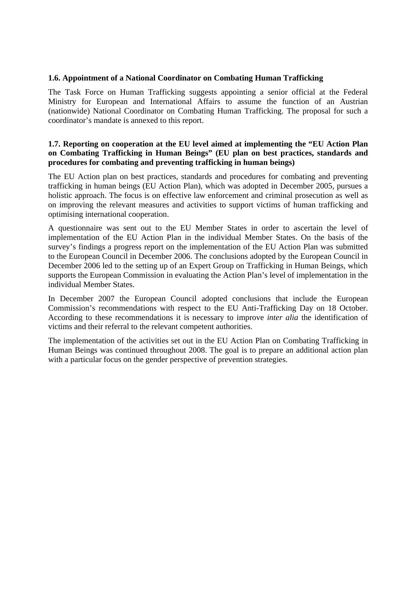#### **1.6. Appointment of a National Coordinator on Combating Human Trafficking**

The Task Force on Human Trafficking suggests appointing a senior official at the Federal Ministry for European and International Affairs to assume the function of an Austrian (nationwide) National Coordinator on Combating Human Trafficking. The proposal for such a coordinator's mandate is annexed to this report.

# **1.7. Reporting on cooperation at the EU level aimed at implementing the "EU Action Plan on Combating Trafficking in Human Beings" (EU plan on best practices, standards and procedures for combating and preventing trafficking in human beings)**

The EU Action plan on best practices, standards and procedures for combating and preventing trafficking in human beings (EU Action Plan), which was adopted in December 2005, pursues a holistic approach. The focus is on effective law enforcement and criminal prosecution as well as on improving the relevant measures and activities to support victims of human trafficking and optimising international cooperation.

A questionnaire was sent out to the EU Member States in order to ascertain the level of implementation of the EU Action Plan in the individual Member States. On the basis of the survey's findings a progress report on the implementation of the EU Action Plan was submitted to the European Council in December 2006. The conclusions adopted by the European Council in December 2006 led to the setting up of an Expert Group on Trafficking in Human Beings, which supports the European Commission in evaluating the Action Plan's level of implementation in the individual Member States.

In December 2007 the European Council adopted conclusions that include the European Commission's recommendations with respect to the EU Anti-Trafficking Day on 18 October. According to these recommendations it is necessary to improve *inter alia* the identification of victims and their referral to the relevant competent authorities.

The implementation of the activities set out in the EU Action Plan on Combating Trafficking in Human Beings was continued throughout 2008. The goal is to prepare an additional action plan with a particular focus on the gender perspective of prevention strategies.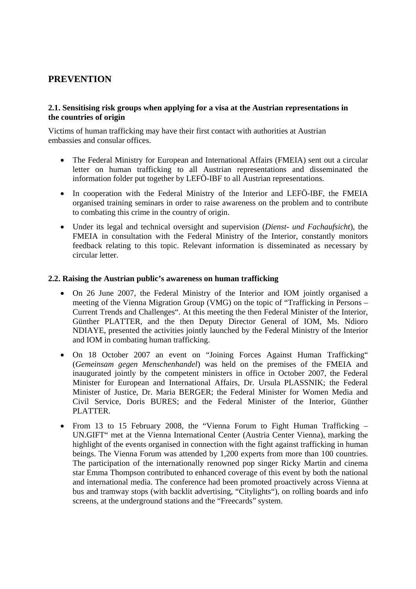# **PREVENTION**

# **2.1. Sensitising risk groups when applying for a visa at the Austrian representations in the countries of origin**

Victims of human trafficking may have their first contact with authorities at Austrian embassies and consular offices.

- The Federal Ministry for European and International Affairs (FMEIA) sent out a circular letter on human trafficking to all Austrian representations and disseminated the information folder put together by LEFÖ-IBF to all Austrian representations.
- In cooperation with the Federal Ministry of the Interior and LEFÖ-IBF, the FMEIA organised training seminars in order to raise awareness on the problem and to contribute to combating this crime in the country of origin.
- Under its legal and technical oversight and supervision (*Dienst- und Fachaufsicht*), the FMEIA in consultation with the Federal Ministry of the Interior, constantly monitors feedback relating to this topic. Relevant information is disseminated as necessary by circular letter.

# **2.2. Raising the Austrian public's awareness on human trafficking**

- On 26 June 2007, the Federal Ministry of the Interior and IOM jointly organised a meeting of the Vienna Migration Group (VMG) on the topic of "Trafficking in Persons – Current Trends and Challenges". At this meeting the then Federal Minister of the Interior, Günther PLATTER, and the then Deputy Director General of IOM, Ms. Ndioro NDIAYE, presented the activities jointly launched by the Federal Ministry of the Interior and IOM in combating human trafficking.
- On 18 October 2007 an event on "Joining Forces Against Human Trafficking" (*Gemeinsam gegen Menschenhandel*) was held on the premises of the FMEIA and inaugurated jointly by the competent ministers in office in October 2007, the Federal Minister for European and International Affairs, Dr. Ursula PLASSNIK; the Federal Minister of Justice, Dr. Maria BERGER; the Federal Minister for Women Media and Civil Service, Doris BURES; and the Federal Minister of the Interior, Günther PLATTER.
- From 13 to 15 February 2008, the "Vienna Forum to Fight Human Trafficking UN.GIFT" met at the Vienna International Center (Austria Center Vienna), marking the highlight of the events organised in connection with the fight against trafficking in human beings. The Vienna Forum was attended by 1,200 experts from more than 100 countries. The participation of the internationally renowned pop singer Ricky Martin and cinema star Emma Thompson contributed to enhanced coverage of this event by both the national and international media. The conference had been promoted proactively across Vienna at bus and tramway stops (with backlit advertising, "Citylights"), on rolling boards and info screens, at the underground stations and the "Freecards" system.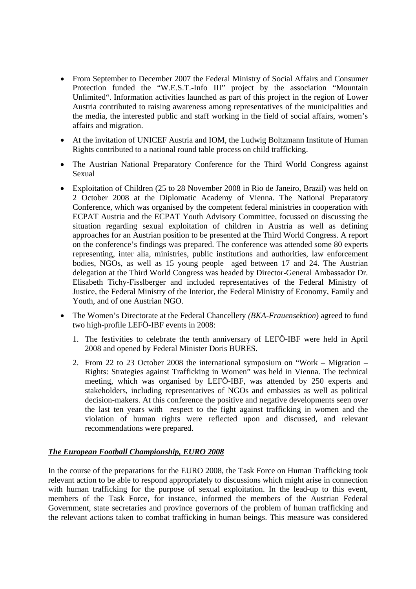- From September to December 2007 the Federal Ministry of Social Affairs and Consumer Protection funded the "W.E.S.T.-Info III" project by the association "Mountain Unlimited". Information activities launched as part of this project in the region of Lower Austria contributed to raising awareness among representatives of the municipalities and the media, the interested public and staff working in the field of social affairs, women's affairs and migration.
- At the invitation of UNICEF Austria and IOM, the Ludwig Boltzmann Institute of Human Rights contributed to a national round table process on child trafficking.
- The Austrian National Preparatory Conference for the Third World Congress against Sexual
- Exploitation of Children (25 to 28 November 2008 in Rio de Janeiro, Brazil) was held on 2 October 2008 at the Diplomatic Academy of Vienna. The National Preparatory Conference, which was organised by the competent federal ministries in cooperation with ECPAT Austria and the ECPAT Youth Advisory Committee, focussed on discussing the situation regarding sexual exploitation of children in Austria as well as defining approaches for an Austrian position to be presented at the Third World Congress. A report on the conference's findings was prepared. The conference was attended some 80 experts representing, inter alia, ministries, public institutions and authorities, law enforcement bodies, NGOs, as well as 15 young people aged between 17 and 24. The Austrian delegation at the Third World Congress was headed by Director-General Ambassador Dr. Elisabeth Tichy-Fisslberger and included representatives of the Federal Ministry of Justice, the Federal Ministry of the Interior, the Federal Ministry of Economy, Family and Youth, and of one Austrian NGO.
- The Women's Directorate at the Federal Chancellery *(BKA-Frauensektion*) agreed to fund two high-profile LEFÖ-IBF events in 2008:
	- 1. The festivities to celebrate the tenth anniversary of LEFÖ-IBF were held in April 2008 and opened by Federal Minister Doris BURES.
	- 2. From 22 to 23 October 2008 the international symposium on "Work Migration Rights: Strategies against Trafficking in Women" was held in Vienna. The technical meeting, which was organised by LEFÖ-IBF, was attended by 250 experts and stakeholders, including representatives of NGOs and embassies as well as political decision-makers. At this conference the positive and negative developments seen over the last ten years with respect to the fight against trafficking in women and the violation of human rights were reflected upon and discussed, and relevant recommendations were prepared.

# *The European Football Championship, EURO 2008*

In the course of the preparations for the EURO 2008, the Task Force on Human Trafficking took relevant action to be able to respond appropriately to discussions which might arise in connection with human trafficking for the purpose of sexual exploitation. In the lead-up to this event, members of the Task Force, for instance, informed the members of the Austrian Federal Government, state secretaries and province governors of the problem of human trafficking and the relevant actions taken to combat trafficking in human beings. This measure was considered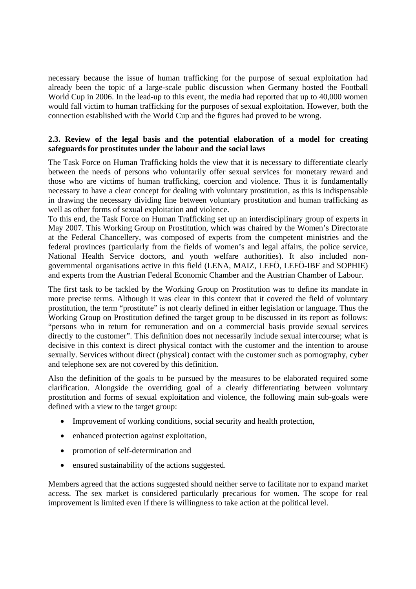necessary because the issue of human trafficking for the purpose of sexual exploitation had already been the topic of a large-scale public discussion when Germany hosted the Football World Cup in 2006. In the lead-up to this event, the media had reported that up to 40,000 women would fall victim to human trafficking for the purposes of sexual exploitation. However, both the connection established with the World Cup and the figures had proved to be wrong.

# **2.3. Review of the legal basis and the potential elaboration of a model for creating safeguards for prostitutes under the labour and the social laws**

The Task Force on Human Trafficking holds the view that it is necessary to differentiate clearly between the needs of persons who voluntarily offer sexual services for monetary reward and those who are victims of human trafficking, coercion and violence. Thus it is fundamentally necessary to have a clear concept for dealing with voluntary prostitution, as this is indispensable in drawing the necessary dividing line between voluntary prostitution and human trafficking as well as other forms of sexual exploitation and violence.

To this end, the Task Force on Human Trafficking set up an interdisciplinary group of experts in May 2007. This Working Group on Prostitution, which was chaired by the Women's Directorate at the Federal Chancellery, was composed of experts from the competent ministries and the federal provinces (particularly from the fields of women's and legal affairs, the police service, National Health Service doctors, and youth welfare authorities). It also included nongovernmental organisations active in this field (LENA, MAIZ, LEFÖ, LEFÖ-IBF and SOPHIE) and experts from the Austrian Federal Economic Chamber and the Austrian Chamber of Labour.

The first task to be tackled by the Working Group on Prostitution was to define its mandate in more precise terms. Although it was clear in this context that it covered the field of voluntary prostitution, the term "prostitute" is not clearly defined in either legislation or language. Thus the Working Group on Prostitution defined the target group to be discussed in its report as follows: "persons who in return for remuneration and on a commercial basis provide sexual services directly to the customer". This definition does not necessarily include sexual intercourse; what is decisive in this context is direct physical contact with the customer and the intention to arouse sexually. Services without direct (physical) contact with the customer such as pornography, cyber and telephone sex are not covered by this definition.

Also the definition of the goals to be pursued by the measures to be elaborated required some clarification. Alongside the overriding goal of a clearly differentiating between voluntary prostitution and forms of sexual exploitation and violence, the following main sub-goals were defined with a view to the target group:

- Improvement of working conditions, social security and health protection,
- enhanced protection against exploitation,
- promotion of self-determination and
- ensured sustainability of the actions suggested.

Members agreed that the actions suggested should neither serve to facilitate nor to expand market access. The sex market is considered particularly precarious for women. The scope for real improvement is limited even if there is willingness to take action at the political level.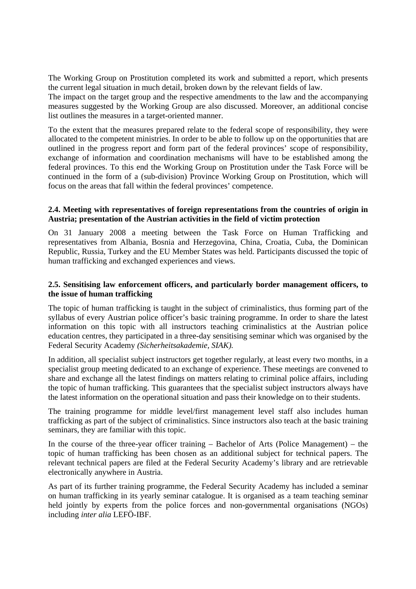The Working Group on Prostitution completed its work and submitted a report, which presents the current legal situation in much detail, broken down by the relevant fields of law.

The impact on the target group and the respective amendments to the law and the accompanying measures suggested by the Working Group are also discussed. Moreover, an additional concise list outlines the measures in a target-oriented manner.

To the extent that the measures prepared relate to the federal scope of responsibility, they were allocated to the competent ministries. In order to be able to follow up on the opportunities that are outlined in the progress report and form part of the federal provinces' scope of responsibility, exchange of information and coordination mechanisms will have to be established among the federal provinces. To this end the Working Group on Prostitution under the Task Force will be continued in the form of a (sub-division) Province Working Group on Prostitution, which will focus on the areas that fall within the federal provinces' competence.

# **2.4. Meeting with representatives of foreign representations from the countries of origin in Austria; presentation of the Austrian activities in the field of victim protection**

On 31 January 2008 a meeting between the Task Force on Human Trafficking and representatives from Albania, Bosnia and Herzegovina, China, Croatia, Cuba, the Dominican Republic, Russia, Turkey and the EU Member States was held. Participants discussed the topic of human trafficking and exchanged experiences and views.

# **2.5. Sensitising law enforcement officers, and particularly border management officers, to the issue of human trafficking**

The topic of human trafficking is taught in the subject of criminalistics, thus forming part of the syllabus of every Austrian police officer's basic training programme. In order to share the latest information on this topic with all instructors teaching criminalistics at the Austrian police education centres, they participated in a three-day sensitising seminar which was organised by the Federal Security Academy *(Sicherheitsakademie, SIAK).*

In addition, all specialist subject instructors get together regularly, at least every two months, in a specialist group meeting dedicated to an exchange of experience. These meetings are convened to share and exchange all the latest findings on matters relating to criminal police affairs, including the topic of human trafficking. This guarantees that the specialist subject instructors always have the latest information on the operational situation and pass their knowledge on to their students.

The training programme for middle level/first management level staff also includes human trafficking as part of the subject of criminalistics. Since instructors also teach at the basic training seminars, they are familiar with this topic.

In the course of the three-year officer training – Bachelor of Arts (Police Management) – the topic of human trafficking has been chosen as an additional subject for technical papers. The relevant technical papers are filed at the Federal Security Academy's library and are retrievable electronically anywhere in Austria.

As part of its further training programme, the Federal Security Academy has included a seminar on human trafficking in its yearly seminar catalogue. It is organised as a team teaching seminar held jointly by experts from the police forces and non-governmental organisations (NGOs) including *inter alia* LEFÖ-IBF.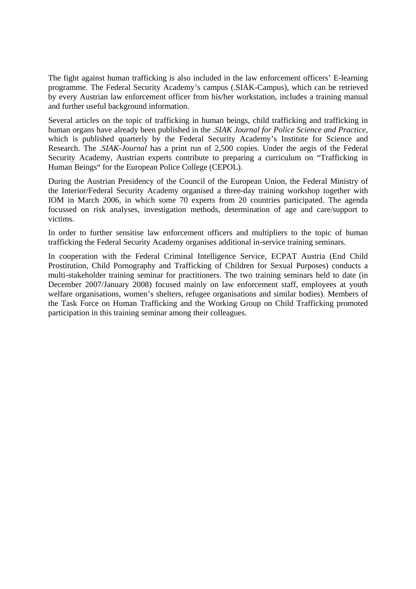The fight against human trafficking is also included in the law enforcement officers' E-learning programme. The Federal Security Academy's campus (.SIAK-Campus), which can be retrieved by every Austrian law enforcement officer from his/her workstation, includes a training manual and further useful background information.

Several articles on the topic of trafficking in human beings, child trafficking and trafficking in human organs have already been published in the .*SIAK Journal for Police Science and Practice*, which is published quarterly by the Federal Security Academy's Institute for Science and Research. The .*SIAK-Journal* has a print run of 2,500 copies. Under the aegis of the Federal Security Academy, Austrian experts contribute to preparing a curriculum on "Trafficking in Human Beings" for the European Police College (CEPOL).

During the Austrian Presidency of the Council of the European Union, the Federal Ministry of the Interior/Federal Security Academy organised a three-day training workshop together with IOM in March 2006, in which some 70 experts from 20 countries participated. The agenda focussed on risk analyses, investigation methods, determination of age and care/support to victims.

In order to further sensitise law enforcement officers and multipliers to the topic of human trafficking the Federal Security Academy organises additional in-service training seminars.

In cooperation with the Federal Criminal Intelligence Service, ECPAT Austria (End Child Prostitution, Child Pornography and Trafficking of Children for Sexual Purposes) conducts a multi-stakeholder training seminar for practitioners. The two training seminars held to date (in December 2007/January 2008) focused mainly on law enforcement staff, employees at youth welfare organisations, women's shelters, refugee organisations and similar bodies). Members of the Task Force on Human Trafficking and the Working Group on Child Trafficking promoted participation in this training seminar among their colleagues.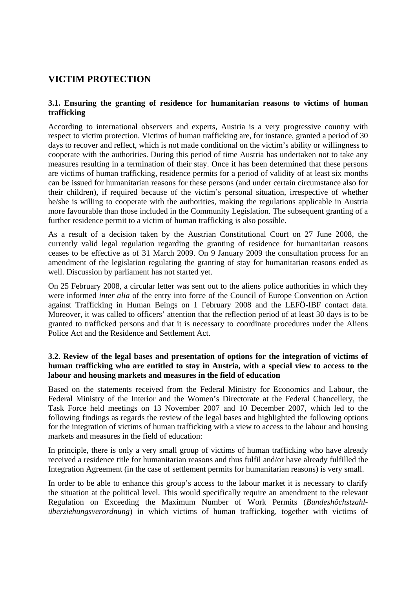# **VICTIM PROTECTION**

# **3.1. Ensuring the granting of residence for humanitarian reasons to victims of human trafficking**

According to international observers and experts, Austria is a very progressive country with respect to victim protection. Victims of human trafficking are, for instance, granted a period of 30 days to recover and reflect, which is not made conditional on the victim's ability or willingness to cooperate with the authorities. During this period of time Austria has undertaken not to take any measures resulting in a termination of their stay. Once it has been determined that these persons are victims of human trafficking, residence permits for a period of validity of at least six months can be issued for humanitarian reasons for these persons (and under certain circumstance also for their children), if required because of the victim's personal situation, irrespective of whether he/she is willing to cooperate with the authorities, making the regulations applicable in Austria more favourable than those included in the Community Legislation. The subsequent granting of a further residence permit to a victim of human trafficking is also possible.

As a result of a decision taken by the Austrian Constitutional Court on 27 June 2008, the currently valid legal regulation regarding the granting of residence for humanitarian reasons ceases to be effective as of 31 March 2009. On 9 January 2009 the consultation process for an amendment of the legislation regulating the granting of stay for humanitarian reasons ended as well. Discussion by parliament has not started yet.

On 25 February 2008, a circular letter was sent out to the aliens police authorities in which they were informed *inter alia* of the entry into force of the Council of Europe Convention on Action against Trafficking in Human Beings on 1 February 2008 and the LEFÖ-IBF contact data. Moreover, it was called to officers' attention that the reflection period of at least 30 days is to be granted to trafficked persons and that it is necessary to coordinate procedures under the Aliens Police Act and the Residence and Settlement Act.

# **3.2. Review of the legal bases and presentation of options for the integration of victims of human trafficking who are entitled to stay in Austria, with a special view to access to the labour and housing markets and measures in the field of education**

Based on the statements received from the Federal Ministry for Economics and Labour, the Federal Ministry of the Interior and the Women's Directorate at the Federal Chancellery, the Task Force held meetings on 13 November 2007 and 10 December 2007, which led to the following findings as regards the review of the legal bases and highlighted the following options for the integration of victims of human trafficking with a view to access to the labour and housing markets and measures in the field of education:

In principle, there is only a very small group of victims of human trafficking who have already received a residence title for humanitarian reasons and thus fulfil and/or have already fulfilled the Integration Agreement (in the case of settlement permits for humanitarian reasons) is very small.

In order to be able to enhance this group's access to the labour market it is necessary to clarify the situation at the political level. This would specifically require an amendment to the relevant Regulation on Exceeding the Maximum Number of Work Permits (*Bundeshöchstzahlüberziehungsverordnung*) in which victims of human trafficking, together with victims of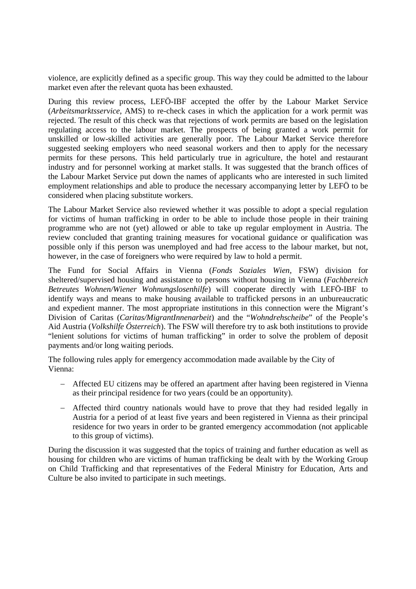violence, are explicitly defined as a specific group. This way they could be admitted to the labour market even after the relevant quota has been exhausted.

During this review process, LEFÖ-IBF accepted the offer by the Labour Market Service (*Arbeitsmarktsservice*, AMS) to re-check cases in which the application for a work permit was rejected. The result of this check was that rejections of work permits are based on the legislation regulating access to the labour market. The prospects of being granted a work permit for unskilled or low-skilled activities are generally poor. The Labour Market Service therefore suggested seeking employers who need seasonal workers and then to apply for the necessary permits for these persons. This held particularly true in agriculture, the hotel and restaurant industry and for personnel working at market stalls. It was suggested that the branch offices of the Labour Market Service put down the names of applicants who are interested in such limited employment relationships and able to produce the necessary accompanying letter by LEFÖ to be considered when placing substitute workers.

The Labour Market Service also reviewed whether it was possible to adopt a special regulation for victims of human trafficking in order to be able to include those people in their training programme who are not (yet) allowed or able to take up regular employment in Austria. The review concluded that granting training measures for vocational guidance or qualification was possible only if this person was unemployed and had free access to the labour market, but not, however, in the case of foreigners who were required by law to hold a permit.

The Fund for Social Affairs in Vienna (*Fonds Soziales Wien*, FSW) division for sheltered/supervised housing and assistance to persons without housing in Vienna (*Fachbereich Betreutes Wohnen/Wiener Wohnungslosenhilfe*) will cooperate directly with LEFÖ-IBF to identify ways and means to make housing available to trafficked persons in an unbureaucratic and expedient manner. The most appropriate institutions in this connection were the Migrant's Division of Caritas (*Caritas/MigrantInnenarbeit*) and the "*Wohndrehscheibe*" of the People's Aid Austria (*Volkshilfe Österreich*). The FSW will therefore try to ask both institutions to provide "lenient solutions for victims of human trafficking" in order to solve the problem of deposit payments and/or long waiting periods.

The following rules apply for emergency accommodation made available by the City of Vienna:

- − Affected EU citizens may be offered an apartment after having been registered in Vienna as their principal residence for two years (could be an opportunity).
- Affected third country nationals would have to prove that they had resided legally in Austria for a period of at least five years and been registered in Vienna as their principal residence for two years in order to be granted emergency accommodation (not applicable to this group of victims).

During the discussion it was suggested that the topics of training and further education as well as housing for children who are victims of human trafficking be dealt with by the Working Group on Child Trafficking and that representatives of the Federal Ministry for Education, Arts and Culture be also invited to participate in such meetings.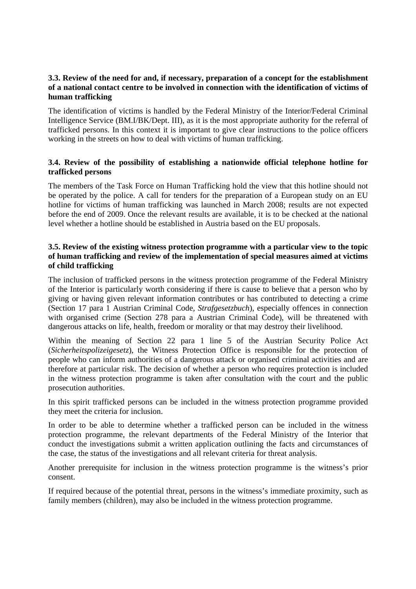# **3.3. Review of the need for and, if necessary, preparation of a concept for the establishment of a national contact centre to be involved in connection with the identification of victims of human trafficking**

The identification of victims is handled by the Federal Ministry of the Interior/Federal Criminal Intelligence Service (BM.I/BK/Dept. III), as it is the most appropriate authority for the referral of trafficked persons. In this context it is important to give clear instructions to the police officers working in the streets on how to deal with victims of human trafficking.

# **3.4. Review of the possibility of establishing a nationwide official telephone hotline for trafficked persons**

The members of the Task Force on Human Trafficking hold the view that this hotline should not be operated by the police. A call for tenders for the preparation of a European study on an EU hotline for victims of human trafficking was launched in March 2008; results are not expected before the end of 2009. Once the relevant results are available, it is to be checked at the national level whether a hotline should be established in Austria based on the EU proposals.

# **3.5. Review of the existing witness protection programme with a particular view to the topic of human trafficking and review of the implementation of special measures aimed at victims of child trafficking**

The inclusion of trafficked persons in the witness protection programme of the Federal Ministry of the Interior is particularly worth considering if there is cause to believe that a person who by giving or having given relevant information contributes or has contributed to detecting a crime (Section 17 para 1 Austrian Criminal Code, *Strafgesetzbuch*), especially offences in connection with organised crime (Section 278 para a Austrian Criminal Code), will be threatened with dangerous attacks on life, health, freedom or morality or that may destroy their livelihood.

Within the meaning of Section 22 para 1 line 5 of the Austrian Security Police Act (*Sicherheitspolizeigesetz*), the Witness Protection Office is responsible for the protection of people who can inform authorities of a dangerous attack or organised criminal activities and are therefore at particular risk. The decision of whether a person who requires protection is included in the witness protection programme is taken after consultation with the court and the public prosecution authorities.

In this spirit trafficked persons can be included in the witness protection programme provided they meet the criteria for inclusion.

In order to be able to determine whether a trafficked person can be included in the witness protection programme, the relevant departments of the Federal Ministry of the Interior that conduct the investigations submit a written application outlining the facts and circumstances of the case, the status of the investigations and all relevant criteria for threat analysis.

Another prerequisite for inclusion in the witness protection programme is the witness's prior consent.

If required because of the potential threat, persons in the witness's immediate proximity, such as family members (children), may also be included in the witness protection programme.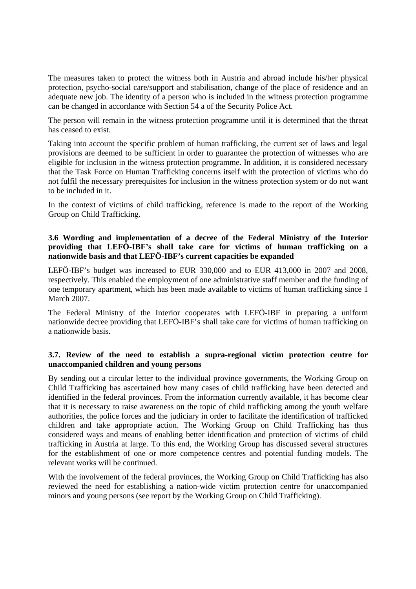The measures taken to protect the witness both in Austria and abroad include his/her physical protection, psycho-social care/support and stabilisation, change of the place of residence and an adequate new job. The identity of a person who is included in the witness protection programme can be changed in accordance with Section 54 a of the Security Police Act.

The person will remain in the witness protection programme until it is determined that the threat has ceased to exist.

Taking into account the specific problem of human trafficking, the current set of laws and legal provisions are deemed to be sufficient in order to guarantee the protection of witnesses who are eligible for inclusion in the witness protection programme. In addition, it is considered necessary that the Task Force on Human Trafficking concerns itself with the protection of victims who do not fulfil the necessary prerequisites for inclusion in the witness protection system or do not want to be included in it.

In the context of victims of child trafficking, reference is made to the report of the Working Group on Child Trafficking.

# **3.6 Wording and implementation of a decree of the Federal Ministry of the Interior providing that LEFÖ-IBF's shall take care for victims of human trafficking on a nationwide basis and that LEFÖ-IBF's current capacities be expanded**

LEFÖ-IBF's budget was increased to EUR 330,000 and to EUR 413,000 in 2007 and 2008, respectively. This enabled the employment of one administrative staff member and the funding of one temporary apartment, which has been made available to victims of human trafficking since 1 March 2007.

The Federal Ministry of the Interior cooperates with LEFÖ-IBF in preparing a uniform nationwide decree providing that LEFÖ-IBF's shall take care for victims of human trafficking on a nationwide basis.

# **3.7. Review of the need to establish a supra-regional victim protection centre for unaccompanied children and young persons**

By sending out a circular letter to the individual province governments, the Working Group on Child Trafficking has ascertained how many cases of child trafficking have been detected and identified in the federal provinces. From the information currently available, it has become clear that it is necessary to raise awareness on the topic of child trafficking among the youth welfare authorities, the police forces and the judiciary in order to facilitate the identification of trafficked children and take appropriate action. The Working Group on Child Trafficking has thus considered ways and means of enabling better identification and protection of victims of child trafficking in Austria at large. To this end, the Working Group has discussed several structures for the establishment of one or more competence centres and potential funding models. The relevant works will be continued.

With the involvement of the federal provinces, the Working Group on Child Trafficking has also reviewed the need for establishing a nation-wide victim protection centre for unaccompanied minors and young persons (see report by the Working Group on Child Trafficking).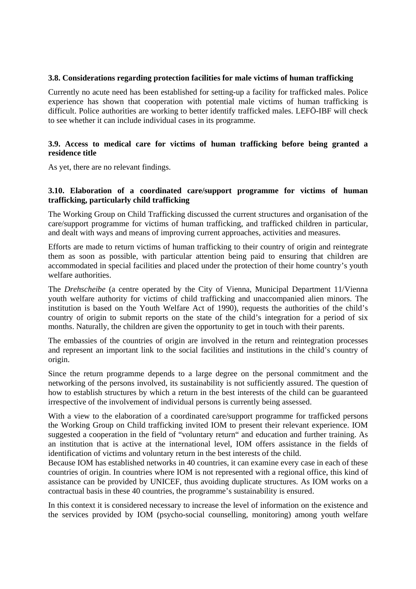#### **3.8. Considerations regarding protection facilities for male victims of human trafficking**

Currently no acute need has been established for setting-up a facility for trafficked males. Police experience has shown that cooperation with potential male victims of human trafficking is difficult. Police authorities are working to better identify trafficked males. LEFÖ-IBF will check to see whether it can include individual cases in its programme.

# **3.9. Access to medical care for victims of human trafficking before being granted a residence title**

As yet, there are no relevant findings.

# **3.10. Elaboration of a coordinated care/support programme for victims of human trafficking, particularly child trafficking**

The Working Group on Child Trafficking discussed the current structures and organisation of the care/support programme for victims of human trafficking, and trafficked children in particular, and dealt with ways and means of improving current approaches, activities and measures.

Efforts are made to return victims of human trafficking to their country of origin and reintegrate them as soon as possible, with particular attention being paid to ensuring that children are accommodated in special facilities and placed under the protection of their home country's youth welfare authorities.

The *Drehscheibe* (a centre operated by the City of Vienna, Municipal Department 11/Vienna youth welfare authority for victims of child trafficking and unaccompanied alien minors. The institution is based on the Youth Welfare Act of 1990), requests the authorities of the child's country of origin to submit reports on the state of the child's integration for a period of six months. Naturally, the children are given the opportunity to get in touch with their parents.

The embassies of the countries of origin are involved in the return and reintegration processes and represent an important link to the social facilities and institutions in the child's country of origin.

Since the return programme depends to a large degree on the personal commitment and the networking of the persons involved, its sustainability is not sufficiently assured. The question of how to establish structures by which a return in the best interests of the child can be guaranteed irrespective of the involvement of individual persons is currently being assessed.

With a view to the elaboration of a coordinated care/support programme for trafficked persons the Working Group on Child trafficking invited IOM to present their relevant experience. IOM suggested a cooperation in the field of "voluntary return" and education and further training. As an institution that is active at the international level, IOM offers assistance in the fields of identification of victims and voluntary return in the best interests of the child.

Because IOM has established networks in 40 countries, it can examine every case in each of these countries of origin. In countries where IOM is not represented with a regional office, this kind of assistance can be provided by UNICEF, thus avoiding duplicate structures. As IOM works on a contractual basis in these 40 countries, the programme's sustainability is ensured.

In this context it is considered necessary to increase the level of information on the existence and the services provided by IOM (psycho-social counselling, monitoring) among youth welfare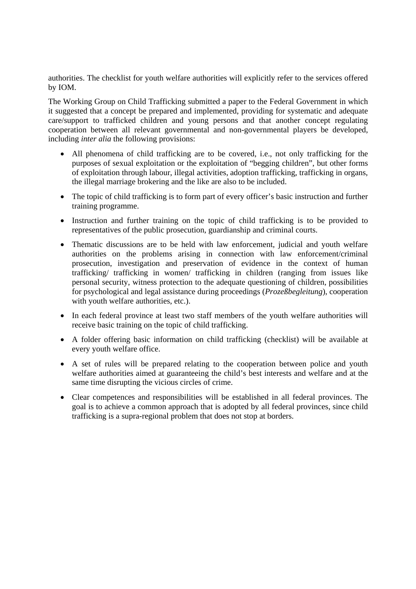authorities. The checklist for youth welfare authorities will explicitly refer to the services offered by IOM.

The Working Group on Child Trafficking submitted a paper to the Federal Government in which it suggested that a concept be prepared and implemented, providing for systematic and adequate care/support to trafficked children and young persons and that another concept regulating cooperation between all relevant governmental and non-governmental players be developed, including *inter alia* the following provisions:

- All phenomena of child trafficking are to be covered, i.e., not only trafficking for the purposes of sexual exploitation or the exploitation of "begging children", but other forms of exploitation through labour, illegal activities, adoption trafficking, trafficking in organs, the illegal marriage brokering and the like are also to be included.
- The topic of child trafficking is to form part of every officer's basic instruction and further training programme.
- Instruction and further training on the topic of child trafficking is to be provided to representatives of the public prosecution, guardianship and criminal courts.
- Thematic discussions are to be held with law enforcement, judicial and youth welfare authorities on the problems arising in connection with law enforcement/criminal prosecution, investigation and preservation of evidence in the context of human trafficking/ trafficking in women/ trafficking in children (ranging from issues like personal security, witness protection to the adequate questioning of children, possibilities for psychological and legal assistance during proceedings (*Prozeßbegleitung*), cooperation with youth welfare authorities, etc.).
- In each federal province at least two staff members of the youth welfare authorities will receive basic training on the topic of child trafficking.
- A folder offering basic information on child trafficking (checklist) will be available at every youth welfare office.
- A set of rules will be prepared relating to the cooperation between police and youth welfare authorities aimed at guaranteeing the child's best interests and welfare and at the same time disrupting the vicious circles of crime.
- Clear competences and responsibilities will be established in all federal provinces. The goal is to achieve a common approach that is adopted by all federal provinces, since child trafficking is a supra-regional problem that does not stop at borders.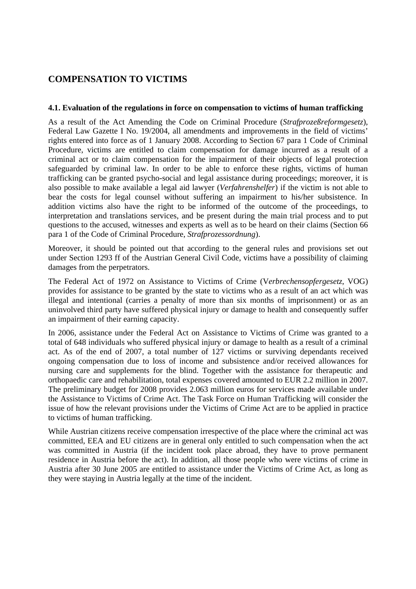# **COMPENSATION TO VICTIMS**

# **4.1. Evaluation of the regulations in force on compensation to victims of human trafficking**

As a result of the Act Amending the Code on Criminal Procedure (*Strafprozeßreformgesetz*), Federal Law Gazette I No. 19/2004, all amendments and improvements in the field of victims' rights entered into force as of 1 January 2008. According to Section 67 para 1 Code of Criminal Procedure, victims are entitled to claim compensation for damage incurred as a result of a criminal act or to claim compensation for the impairment of their objects of legal protection safeguarded by criminal law. In order to be able to enforce these rights, victims of human trafficking can be granted psycho-social and legal assistance during proceedings; moreover, it is also possible to make available a legal aid lawyer (*Verfahrenshelfer*) if the victim is not able to bear the costs for legal counsel without suffering an impairment to his/her subsistence. In addition victims also have the right to be informed of the outcome of the proceedings, to interpretation and translations services, and be present during the main trial process and to put questions to the accused, witnesses and experts as well as to be heard on their claims (Section 66 para 1 of the Code of Criminal Procedure, *Strafprozessordnung*).

Moreover, it should be pointed out that according to the general rules and provisions set out under Section 1293 ff of the Austrian General Civil Code, victims have a possibility of claiming damages from the perpetrators.

The Federal Act of 1972 on Assistance to Victims of Crime (V*erbrechensopfergesetz*, VOG) provides for assistance to be granted by the state to victims who as a result of an act which was illegal and intentional (carries a penalty of more than six months of imprisonment) or as an uninvolved third party have suffered physical injury or damage to health and consequently suffer an impairment of their earning capacity.

In 2006, assistance under the Federal Act on Assistance to Victims of Crime was granted to a total of 648 individuals who suffered physical injury or damage to health as a result of a criminal act. As of the end of 2007, a total number of 127 victims or surviving dependants received ongoing compensation due to loss of income and subsistence and/or received allowances for nursing care and supplements for the blind. Together with the assistance for therapeutic and orthopaedic care and rehabilitation, total expenses covered amounted to EUR 2.2 million in 2007. The preliminary budget for 2008 provides 2.063 million euros for services made available under the Assistance to Victims of Crime Act. The Task Force on Human Trafficking will consider the issue of how the relevant provisions under the Victims of Crime Act are to be applied in practice to victims of human trafficking.

While Austrian citizens receive compensation irrespective of the place where the criminal act was committed, EEA and EU citizens are in general only entitled to such compensation when the act was committed in Austria (if the incident took place abroad, they have to prove permanent residence in Austria before the act). In addition, all those people who were victims of crime in Austria after 30 June 2005 are entitled to assistance under the Victims of Crime Act, as long as they were staying in Austria legally at the time of the incident.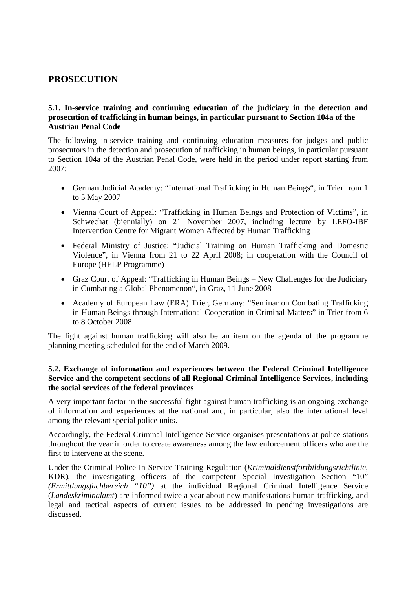# **PROSECUTION**

# **5.1. In-service training and continuing education of the judiciary in the detection and prosecution of trafficking in human beings, in particular pursuant to Section 104a of the Austrian Penal Code**

The following in-service training and continuing education measures for judges and public prosecutors in the detection and prosecution of trafficking in human beings, in particular pursuant to Section 104a of the Austrian Penal Code, were held in the period under report starting from  $2007$ 

- German Judicial Academy: "International Trafficking in Human Beings", in Trier from 1 to 5 May 2007
- Vienna Court of Appeal: "Trafficking in Human Beings and Protection of Victims", in Schwechat (biennially) on 21 November 2007, including lecture by LEFÖ-IBF Intervention Centre for Migrant Women Affected by Human Trafficking
- Federal Ministry of Justice: "Judicial Training on Human Trafficking and Domestic Violence", in Vienna from 21 to 22 April 2008; in cooperation with the Council of Europe (HELP Programme)
- Graz Court of Appeal: "Trafficking in Human Beings New Challenges for the Judiciary in Combating a Global Phenomenon", in Graz, 11 June 2008
- Academy of European Law (ERA) Trier, Germany: "Seminar on Combating Trafficking in Human Beings through International Cooperation in Criminal Matters" in Trier from 6 to 8 October 2008

The fight against human trafficking will also be an item on the agenda of the programme planning meeting scheduled for the end of March 2009.

# **5.2. Exchange of information and experiences between the Federal Criminal Intelligence Service and the competent sections of all Regional Criminal Intelligence Services, including the social services of the federal provinces**

A very important factor in the successful fight against human trafficking is an ongoing exchange of information and experiences at the national and, in particular, also the international level among the relevant special police units.

Accordingly, the Federal Criminal Intelligence Service organises presentations at police stations throughout the year in order to create awareness among the law enforcement officers who are the first to intervene at the scene.

Under the Criminal Police In-Service Training Regulation (*Kriminaldienstfortbildungsrichtlinie*, KDR), the investigating officers of the competent Special Investigation Section "10" *(Ermittlungsfachbereich "10")* at the individual Regional Criminal Intelligence Service (*Landeskriminalamt*) are informed twice a year about new manifestations human trafficking, and legal and tactical aspects of current issues to be addressed in pending investigations are discussed.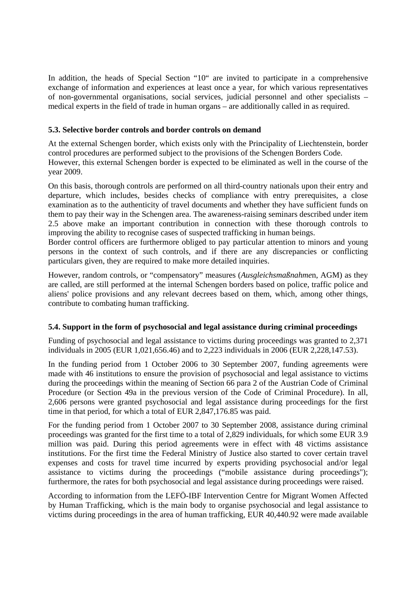In addition, the heads of Special Section "10" are invited to participate in a comprehensive exchange of information and experiences at least once a year, for which various representatives of non-governmental organisations, social services, judicial personnel and other specialists – medical experts in the field of trade in human organs – are additionally called in as required.

# **5.3. Selective border controls and border controls on demand**

At the external Schengen border, which exists only with the Principality of Liechtenstein, border control procedures are performed subject to the provisions of the Schengen Borders Code. However, this external Schengen border is expected to be eliminated as well in the course of the year 2009.

On this basis, thorough controls are performed on all third-country nationals upon their entry and departure, which includes, besides checks of compliance with entry prerequisites, a close examination as to the authenticity of travel documents and whether they have sufficient funds on them to pay their way in the Schengen area. The awareness-raising seminars described under item 2.5 above make an important contribution in connection with these thorough controls to improving the ability to recognise cases of suspected trafficking in human beings.

Border control officers are furthermore obliged to pay particular attention to minors and young persons in the context of such controls, and if there are any discrepancies or conflicting particulars given, they are required to make more detailed inquiries.

However, random controls, or "compensatory" measures (*Ausgleichsmaßnahme*n, AGM) as they are called, are still performed at the internal Schengen borders based on police, traffic police and aliens' police provisions and any relevant decrees based on them, which, among other things, contribute to combating human trafficking.

# **5.4. Support in the form of psychosocial and legal assistance during criminal proceedings**

Funding of psychosocial and legal assistance to victims during proceedings was granted to 2,371 individuals in 2005 (EUR 1,021,656.46) and to 2,223 individuals in 2006 (EUR 2,228,147.53).

In the funding period from 1 October 2006 to 30 September 2007, funding agreements were made with 46 institutions to ensure the provision of psychosocial and legal assistance to victims during the proceedings within the meaning of Section 66 para 2 of the Austrian Code of Criminal Procedure (or Section 49a in the previous version of the Code of Criminal Procedure). In all, 2,606 persons were granted psychosocial and legal assistance during proceedings for the first time in that period, for which a total of EUR 2,847,176.85 was paid.

For the funding period from 1 October 2007 to 30 September 2008, assistance during criminal proceedings was granted for the first time to a total of 2,829 individuals, for which some EUR 3.9 million was paid. During this period agreements were in effect with 48 victims assistance institutions. For the first time the Federal Ministry of Justice also started to cover certain travel expenses and costs for travel time incurred by experts providing psychosocial and/or legal assistance to victims during the proceedings ("mobile assistance during proceedings"); furthermore, the rates for both psychosocial and legal assistance during proceedings were raised.

According to information from the LEFÖ-IBF Intervention Centre for Migrant Women Affected by Human Trafficking, which is the main body to organise psychosocial and legal assistance to victims during proceedings in the area of human trafficking, EUR 40,440.92 were made available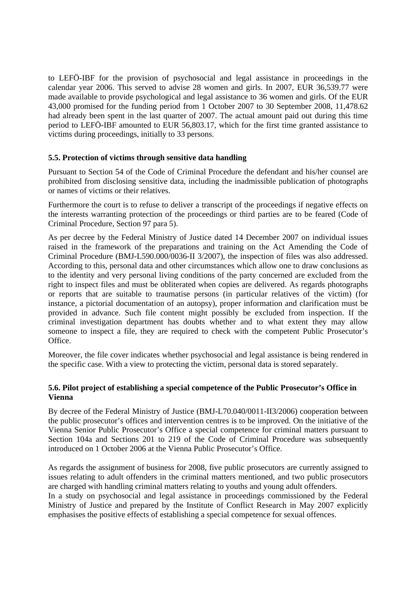to LEFÖ-IBF for the provision of psychosocial and legal assistance in proceedings in the calendar year 2006. This served to advise 28 women and girls. In 2007, EUR 36,539.77 were made available to provide psychological and legal assistance to 36 women and girls. Of the EUR 43,000 promised for the funding period from 1 October 2007 to 30 September 2008, 11,478.62 had already been spent in the last quarter of 2007. The actual amount paid out during this time period to LEFÖ-IBF amounted to EUR 56,803.17, which for the first time granted assistance to victims during proceedings, initially to 33 persons.

# **5.5. Protection of victims through sensitive data handling**

Pursuant to Section 54 of the Code of Criminal Procedure the defendant and his/her counsel are prohibited from disclosing sensitive data, including the inadmissible publication of photographs or names of victims or their relatives.

Furthermore the court is to refuse to deliver a transcript of the proceedings if negative effects on the interests warranting protection of the proceedings or third parties are to be feared (Code of Criminal Procedure, Section 97 para 5).

As per decree by the Federal Ministry of Justice dated 14 December 2007 on individual issues raised in the framework of the preparations and training on the Act Amending the Code of Criminal Procedure (BMJ-L590.000/0036-II 3/2007), the inspection of files was also addressed. According to this, personal data and other circumstances which allow one to draw conclusions as to the identity and very personal living conditions of the party concerned are excluded from the right to inspect files and must be obliterated when copies are delivered. As regards photographs or reports that are suitable to traumatise persons (in particular relatives of the victim) (for instance, a pictorial documentation of an autopsy), proper information and clarification must be provided in advance. Such file content might possibly be excluded from inspection. If the criminal investigation department has doubts whether and to what extent they may allow someone to inspect a file, they are required to check with the competent Public Prosecutor's Office.

Moreover, the file cover indicates whether psychosocial and legal assistance is being rendered in the specific case. With a view to protecting the victim, personal data is stored separately.

# **5.6. Pilot project of establishing a special competence of the Public Prosecutor's Office in Vienna**

By decree of the Federal Ministry of Justice (BMJ-L70.040/0011-II3/2006) cooperation between the public prosecutor's offices and intervention centres is to be improved. On the initiative of the Vienna Senior Public Prosecutor's Office a special competence for criminal matters pursuant to Section 104a and Sections 201 to 219 of the Code of Criminal Procedure was subsequently introduced on 1 October 2006 at the Vienna Public Prosecutor's Office.

As regards the assignment of business for 2008, five public prosecutors are currently assigned to issues relating to adult offenders in the criminal matters mentioned, and two public prosecutors are charged with handling criminal matters relating to youths and young adult offenders.

In a study on psychosocial and legal assistance in proceedings commissioned by the Federal Ministry of Justice and prepared by the Institute of Conflict Research in May 2007 explicitly emphasises the positive effects of establishing a special competence for sexual offences.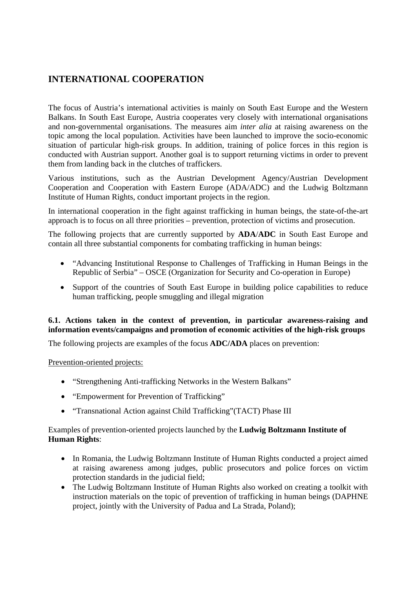# **INTERNATIONAL COOPERATION**

The focus of Austria's international activities is mainly on South East Europe and the Western Balkans. In South East Europe, Austria cooperates very closely with international organisations and non-governmental organisations. The measures aim *inter alia* at raising awareness on the topic among the local population. Activities have been launched to improve the socio-economic situation of particular high-risk groups. In addition, training of police forces in this region is conducted with Austrian support. Another goal is to support returning victims in order to prevent them from landing back in the clutches of traffickers.

Various institutions, such as the Austrian Development Agency/Austrian Development Cooperation and Cooperation with Eastern Europe (ADA/ADC) and the Ludwig Boltzmann Institute of Human Rights, conduct important projects in the region.

In international cooperation in the fight against trafficking in human beings, the state-of-the-art approach is to focus on all three priorities – prevention, protection of victims and prosecution.

The following projects that are currently supported by **ADA**/**ADC** in South East Europe and contain all three substantial components for combating trafficking in human beings:

- "Advancing Institutional Response to Challenges of Trafficking in Human Beings in the Republic of Serbia" – OSCE (Organization for Security and Co-operation in Europe)
- Support of the countries of South East Europe in building police capabilities to reduce human trafficking, people smuggling and illegal migration

# **6.1. Actions taken in the context of prevention, in particular awareness-raising and information events/campaigns and promotion of economic activities of the high-risk groups**

The following projects are examples of the focus **ADC/ADA** places on prevention:

# Prevention-oriented projects:

- "Strengthening Anti-trafficking Networks in the Western Balkans"
- "Empowerment for Prevention of Trafficking"
- "Transnational Action against Child Trafficking"(TACT) Phase III

# Examples of prevention-oriented projects launched by the **Ludwig Boltzmann Institute of Human Rights**:

- In Romania, the Ludwig Boltzmann Institute of Human Rights conducted a project aimed at raising awareness among judges, public prosecutors and police forces on victim protection standards in the judicial field;
- The Ludwig Boltzmann Institute of Human Rights also worked on creating a toolkit with instruction materials on the topic of prevention of trafficking in human beings (DAPHNE project, jointly with the University of Padua and La Strada, Poland);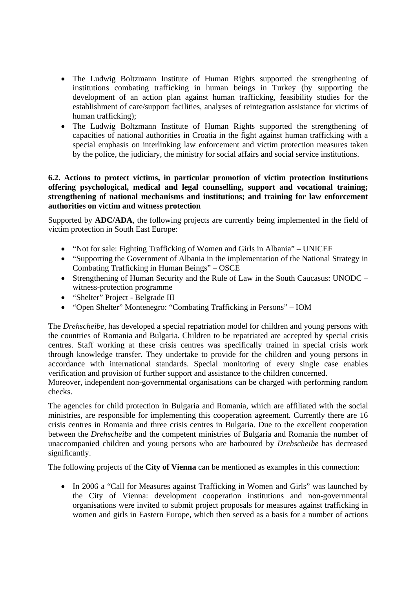- The Ludwig Boltzmann Institute of Human Rights supported the strengthening of institutions combating trafficking in human beings in Turkey (by supporting the development of an action plan against human trafficking, feasibility studies for the establishment of care/support facilities, analyses of reintegration assistance for victims of human trafficking);
- The Ludwig Boltzmann Institute of Human Rights supported the strengthening of capacities of national authorities in Croatia in the fight against human trafficking with a special emphasis on interlinking law enforcement and victim protection measures taken by the police, the judiciary, the ministry for social affairs and social service institutions.

# **6.2. Actions to protect victims, in particular promotion of victim protection institutions offering psychological, medical and legal counselling, support and vocational training; strengthening of national mechanisms and institutions; and training for law enforcement authorities on victim and witness protection**

Supported by **ADC/ADA**, the following projects are currently being implemented in the field of victim protection in South East Europe:

- "Not for sale: Fighting Trafficking of Women and Girls in Albania" UNICEF
- "Supporting the Government of Albania in the implementation of the National Strategy in Combating Trafficking in Human Beings" – OSCE
- Strengthening of Human Security and the Rule of Law in the South Caucasus: UNODC witness-protection programme
- "Shelter" Project Belgrade III
- "Open Shelter" Montenegro: "Combating Trafficking in Persons" IOM

The *Drehscheibe,* has developed a special repatriation model for children and young persons with the countries of Romania and Bulgaria. Children to be repatriated are accepted by special crisis centres. Staff working at these crisis centres was specifically trained in special crisis work through knowledge transfer. They undertake to provide for the children and young persons in accordance with international standards. Special monitoring of every single case enables verification and provision of further support and assistance to the children concerned.

Moreover, independent non-governmental organisations can be charged with performing random checks.

The agencies for child protection in Bulgaria and Romania, which are affiliated with the social ministries, are responsible for implementing this cooperation agreement. Currently there are 16 crisis centres in Romania and three crisis centres in Bulgaria. Due to the excellent cooperation between the *Drehscheibe* and the competent ministries of Bulgaria and Romania the number of unaccompanied children and young persons who are harboured by *Drehscheibe* has decreased significantly.

The following projects of the **City of Vienna** can be mentioned as examples in this connection:

• In 2006 a "Call for Measures against Trafficking in Women and Girls" was launched by the City of Vienna: development cooperation institutions and non-governmental organisations were invited to submit project proposals for measures against trafficking in women and girls in Eastern Europe, which then served as a basis for a number of actions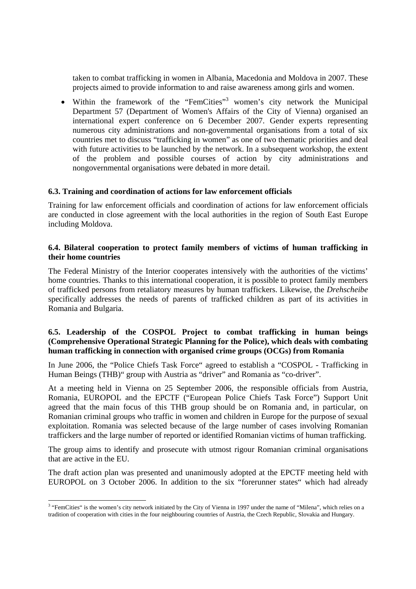taken to combat trafficking in women in Albania, Macedonia and Moldova in 2007. These projects aimed to provide information to and raise awareness among girls and women.

• Within the framework of the "FemCities"<sup>3</sup> women's city network the Municipal Department 57 (Department of Women's Affairs of the City of Vienna) organised an international expert conference on 6 December 2007. Gender experts representing numerous city administrations and non-governmental organisations from a total of six countries met to discuss "trafficking in women" as one of two thematic priorities and deal with future activities to be launched by the network. In a subsequent workshop, the extent of the problem and possible courses of action by city administrations and nongovernmental organisations were debated in more detail.

#### **6.3. Training and coordination of actions for law enforcement officials**

Training for law enforcement officials and coordination of actions for law enforcement officials are conducted in close agreement with the local authorities in the region of South East Europe including Moldova.

### **6.4. Bilateral cooperation to protect family members of victims of human trafficking in their home countries**

The Federal Ministry of the Interior cooperates intensively with the authorities of the victims' home countries. Thanks to this international cooperation, it is possible to protect family members of trafficked persons from retaliatory measures by human traffickers. Likewise, the *Drehscheibe*  specifically addresses the needs of parents of trafficked children as part of its activities in Romania and Bulgaria.

# **6.5. Leadership of the COSPOL Project to combat trafficking in human beings (Comprehensive Operational Strategic Planning for the Police), which deals with combating human trafficking in connection with organised crime groups (OCGs) from Romania**

In June 2006, the "Police Chiefs Task Force" agreed to establish a "COSPOL - Trafficking in Human Beings (THB)" group with Austria as "driver" and Romania as "co-driver".

At a meeting held in Vienna on 25 September 2006, the responsible officials from Austria, Romania, EUROPOL and the EPCTF ("European Police Chiefs Task Force") Support Unit agreed that the main focus of this THB group should be on Romania and, in particular, on Romanian criminal groups who traffic in women and children in Europe for the purpose of sexual exploitation. Romania was selected because of the large number of cases involving Romanian traffickers and the large number of reported or identified Romanian victims of human trafficking.

The group aims to identify and prosecute with utmost rigour Romanian criminal organisations that are active in the EU.

The draft action plan was presented and unanimously adopted at the EPCTF meeting held with EUROPOL on 3 October 2006. In addition to the six "forerunner states" which had already

<sup>&</sup>lt;sup>3</sup> "FemCities" is the women's city network initiated by the City of Vienna in 1997 under the name of "Milena", which relies on a tradition of cooperation with cities in the four neighbouring countries of Austria, the Czech Republic, Slovakia and Hungary.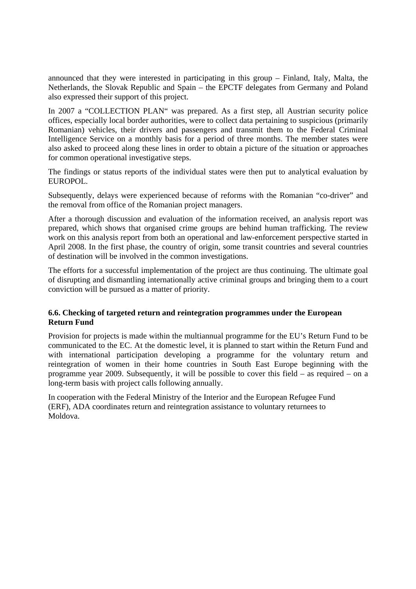announced that they were interested in participating in this group – Finland, Italy, Malta, the Netherlands, the Slovak Republic and Spain – the EPCTF delegates from Germany and Poland also expressed their support of this project.

In 2007 a "COLLECTION PLAN" was prepared. As a first step, all Austrian security police offices, especially local border authorities, were to collect data pertaining to suspicious (primarily Romanian) vehicles, their drivers and passengers and transmit them to the Federal Criminal Intelligence Service on a monthly basis for a period of three months. The member states were also asked to proceed along these lines in order to obtain a picture of the situation or approaches for common operational investigative steps.

The findings or status reports of the individual states were then put to analytical evaluation by EUROPOL.

Subsequently, delays were experienced because of reforms with the Romanian "co-driver" and the removal from office of the Romanian project managers.

After a thorough discussion and evaluation of the information received, an analysis report was prepared, which shows that organised crime groups are behind human trafficking. The review work on this analysis report from both an operational and law-enforcement perspective started in April 2008. In the first phase, the country of origin, some transit countries and several countries of destination will be involved in the common investigations.

The efforts for a successful implementation of the project are thus continuing. The ultimate goal of disrupting and dismantling internationally active criminal groups and bringing them to a court conviction will be pursued as a matter of priority.

# **6.6. Checking of targeted return and reintegration programmes under the European Return Fund**

Provision for projects is made within the multiannual programme for the EU's Return Fund to be communicated to the EC. At the domestic level, it is planned to start within the Return Fund and with international participation developing a programme for the voluntary return and reintegration of women in their home countries in South East Europe beginning with the programme year 2009. Subsequently, it will be possible to cover this field – as required – on a long-term basis with project calls following annually.

In cooperation with the Federal Ministry of the Interior and the European Refugee Fund (ERF), ADA coordinates return and reintegration assistance to voluntary returnees to Moldova.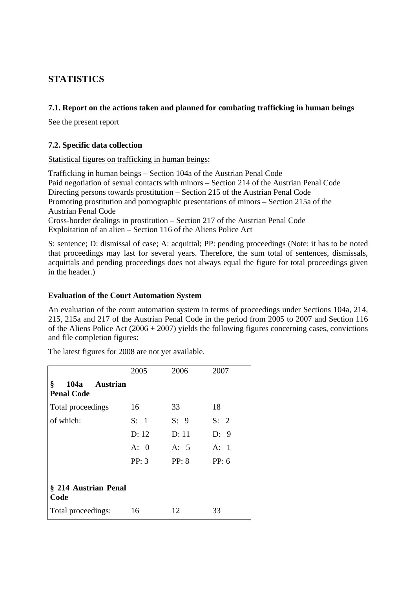# **STATISTICS**

# **7.1. Report on the actions taken and planned for combating trafficking in human beings**

See the present report

# **7.2. Specific data collection**

#### Statistical figures on trafficking in human beings:

Trafficking in human beings – Section 104a of the Austrian Penal Code Paid negotiation of sexual contacts with minors – Section 214 of the Austrian Penal Code Directing persons towards prostitution – Section 215 of the Austrian Penal Code Promoting prostitution and pornographic presentations of minors – Section 215a of the Austrian Penal Code Cross-border dealings in prostitution – Section 217 of the Austrian Penal Code Exploitation of an alien – Section 116 of the Aliens Police Act

S: sentence; D: dismissal of case; A: acquittal; PP: pending proceedings (Note: it has to be noted that proceedings may last for several years. Therefore, the sum total of sentences, dismissals, acquittals and pending proceedings does not always equal the figure for total proceedings given in the header.)

### **Evaluation of the Court Automation System**

An evaluation of the court automation system in terms of proceedings under Sections 104a, 214, 215, 215a and 217 of the Austrian Penal Code in the period from 2005 to 2007 and Section 116 of the Aliens Police Act  $(2006 + 2007)$  yields the following figures concerning cases, convictions and file completion figures:

The latest figures for 2008 are not yet available.

|                                                   | 2005  | 2006  | 2007  |
|---------------------------------------------------|-------|-------|-------|
| §<br>104a<br><b>Austrian</b><br><b>Penal Code</b> |       |       |       |
| Total proceedings                                 | 16    | 33    | 18    |
| of which:                                         | S: 1  | S: 9  | S: 2  |
|                                                   | D: 12 | D: 11 | D: 9  |
|                                                   | A: 0  | A: 5  | A: 1  |
|                                                   | PP: 3 | PP: 8 | PP: 6 |
|                                                   |       |       |       |
| § 214 Austrian Penal<br>Code                      |       |       |       |
| Total proceedings:                                | 16    | 12    | 33    |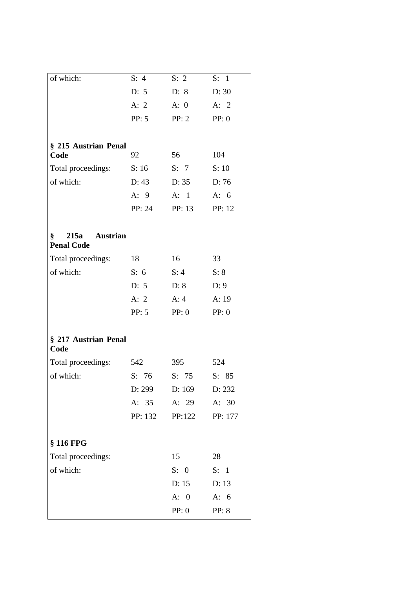| of which:                               | S: 4    | S: 2   | S: 1          |
|-----------------------------------------|---------|--------|---------------|
|                                         | D: 5    | D: 8   | D: 30         |
|                                         | A: $2$  | A: 0   | A: $2$        |
|                                         | PP: 5   | PP: 2  | PP: 0         |
|                                         |         |        |               |
| § 215 Austrian Penal                    |         |        |               |
| Code<br>92                              |         | 56     | 104           |
| Total proceedings:                      | S: 16   | S: 7   | S: 10         |
| of which:                               | D: 43   | D: 35  | D:76          |
|                                         | A: 9    | A: 1   | A: $6$        |
|                                         | PP: 24  | PP: 13 | PP: 12        |
|                                         |         |        |               |
| ş<br>215a Austrian<br><b>Penal Code</b> |         |        |               |
| Total proceedings:<br>18                |         | 16     | 33            |
| of which:                               | S: 6    | S: 4   | S: 8          |
|                                         | D: 5    | D: 8   | D: 9          |
|                                         | A: $2$  | A:4    | A:19          |
|                                         | PP: 5   | PP: 0  | PP: 0         |
|                                         |         |        |               |
| § 217 Austrian Penal<br>Code            |         |        |               |
| Total proceedings:                      | 542     | 395    | 524           |
| of which:                               | S: 76   | S: 75  | S: 85         |
|                                         | D: 299  | D: 169 | D: 232        |
|                                         | A: 35   | A: 29  | A: 30         |
|                                         | PP: 132 | PP:122 | PP: 177       |
|                                         |         |        |               |
| § 116 FPG                               |         |        |               |
| Total proceedings:                      |         | 15     | 28            |
| of which:                               |         | S: 0   | S: 1          |
|                                         |         | D: 15  | D: 13         |
|                                         |         | A: 0   | A: $6$        |
|                                         |         | PP: 0  | <b>PP</b> : 8 |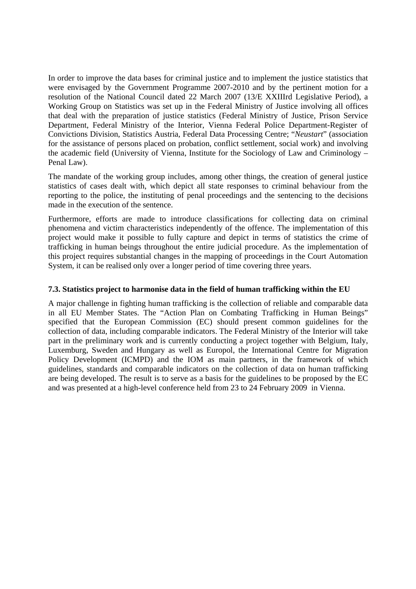In order to improve the data bases for criminal justice and to implement the justice statistics that were envisaged by the Government Programme 2007-2010 and by the pertinent motion for a resolution of the National Council dated 22 March 2007 (13/E XXIIIrd Legislative Period), a Working Group on Statistics was set up in the Federal Ministry of Justice involving all offices that deal with the preparation of justice statistics (Federal Ministry of Justice, Prison Service Department, Federal Ministry of the Interior, Vienna Federal Police Department-Register of Convictions Division, Statistics Austria, Federal Data Processing Centre; "*Neustart*" (association for the assistance of persons placed on probation, conflict settlement, social work) and involving the academic field (University of Vienna, Institute for the Sociology of Law and Criminology – Penal Law).

The mandate of the working group includes, among other things, the creation of general justice statistics of cases dealt with, which depict all state responses to criminal behaviour from the reporting to the police, the instituting of penal proceedings and the sentencing to the decisions made in the execution of the sentence.

Furthermore, efforts are made to introduce classifications for collecting data on criminal phenomena and victim characteristics independently of the offence. The implementation of this project would make it possible to fully capture and depict in terms of statistics the crime of trafficking in human beings throughout the entire judicial procedure. As the implementation of this project requires substantial changes in the mapping of proceedings in the Court Automation System, it can be realised only over a longer period of time covering three years.

#### **7.3. Statistics project to harmonise data in the field of human trafficking within the EU**

A major challenge in fighting human trafficking is the collection of reliable and comparable data in all EU Member States. The "Action Plan on Combating Trafficking in Human Beings" specified that the European Commission (EC) should present common guidelines for the collection of data, including comparable indicators. The Federal Ministry of the Interior will take part in the preliminary work and is currently conducting a project together with Belgium, Italy, Luxemburg, Sweden and Hungary as well as Europol, the International Centre for Migration Policy Development (ICMPD) and the IOM as main partners, in the framework of which guidelines, standards and comparable indicators on the collection of data on human trafficking are being developed. The result is to serve as a basis for the guidelines to be proposed by the EC and was presented at a high-level conference held from 23 to 24 February 2009 in Vienna.